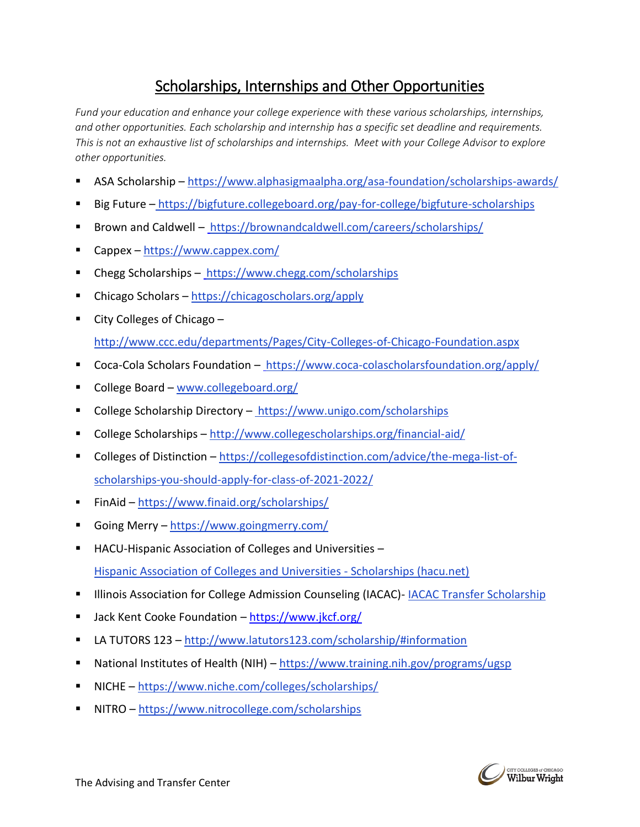# Scholarships, Internships and Other Opportunities

*Fund your education and enhance your college experience with these various scholarships, internships, and other opportunities. Each scholarship and internship has a specific set deadline and requirements. This is not an exhaustive list of scholarships and internships. Meet with your College Advisor to explore other opportunities.*

- ASA Scholarship <https://www.alphasigmaalpha.org/asa-foundation/scholarships-awards/>
- Big Future <https://bigfuture.collegeboard.org/pay-for-college/bigfuture-scholarships>
- Brown and Caldwell <https://brownandcaldwell.com/careers/scholarships/>
- Cappex <https://www.cappex.com/>
- Chegg Scholarships <https://www.chegg.com/scholarships>
- Chicago Scholars <https://chicagoscholars.org/apply>
- City Colleges of Chicago  $$ <http://www.ccc.edu/departments/Pages/City-Colleges-of-Chicago-Foundation.aspx>
- 
- Coca-Cola Scholars Foundation <https://www.coca-colascholarsfoundation.org/apply/>
- College Board [www.collegeboard.org/](http://www.collegeboard.org/)
- College Scholarship Directory <https://www.unigo.com/scholarships>
- College Scholarships <http://www.collegescholarships.org/financial-aid/>
- Colleges of Distinction [https://collegesofdistinction.com/advice/the-mega-list-of](https://collegesofdistinction.com/advice/the-mega-list-of-scholarships-you-should-apply-for-class-of-2021-2022/)[scholarships-you-should-apply-for-class-of-2021-2022/](https://collegesofdistinction.com/advice/the-mega-list-of-scholarships-you-should-apply-for-class-of-2021-2022/)
- FinAid <https://www.finaid.org/scholarships/>
- Going Merry <https://www.goingmerry.com/>
- HACU-Hispanic Association of Colleges and Universities [Hispanic Association of Colleges and Universities -](https://www.hacu.net/hacu/scholarships.asp) Scholarships (hacu.net)
- **■** Illinois Association for College Admission Counseling (IACAC)- [IACAC Transfer Scholarship](https://www.iacac.org/transfer-scholarship/)
- Jack Kent Cooke Foundation <https://www.jkcf.org/>
- LA TUTORS 123 <http://www.latutors123.com/scholarship/#information>
- National Institutes of Health (NIH) <https://www.training.nih.gov/programs/ugsp>
- NICHE <https://www.niche.com/colleges/scholarships/>
- NITRO <https://www.nitrocollege.com/scholarships>

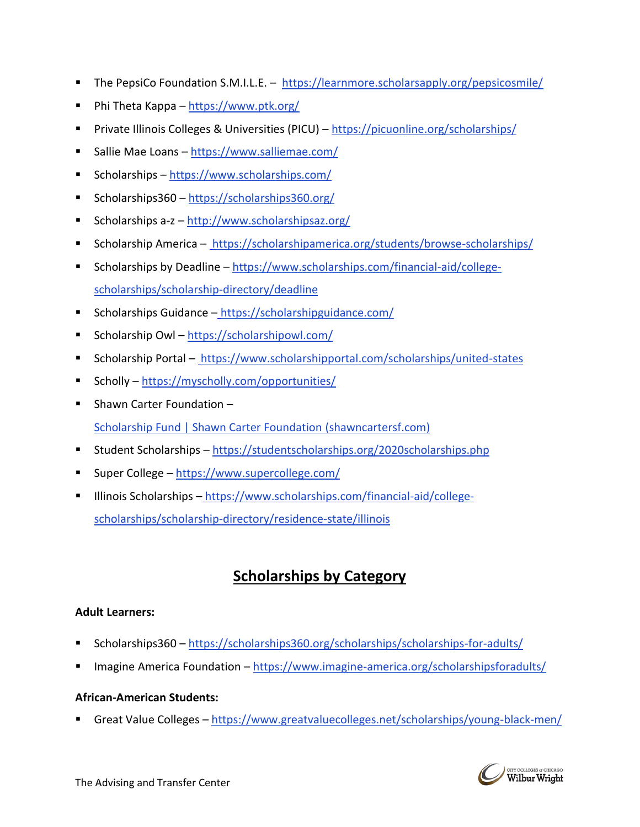- The PepsiCo Foundation S.M.I.L.E. <https://learnmore.scholarsapply.org/pepsicosmile/>
- Phi Theta Kappa <https://www.ptk.org/>
- Private Illinois Colleges & Universities (PICU) <https://picuonline.org/scholarships/>
- Sallie Mae Loans <https://www.salliemae.com/>
- Scholarships <https://www.scholarships.com/>
- Scholarships360 <https://scholarships360.org/>
- Scholarships a-z <http://www.scholarshipsaz.org/>
- Scholarship America <https://scholarshipamerica.org/students/browse-scholarships/>
- Scholarships by Deadline [https://www.scholarships.com/financial-aid/college](https://www.scholarships.com/financial-aid/college-scholarships/scholarship-directory/deadline)[scholarships/scholarship-directory/deadline](https://www.scholarships.com/financial-aid/college-scholarships/scholarship-directory/deadline)
- Scholarships Guidance https://scholarshipguidance.com/
- Scholarship Owl <https://scholarshipowl.com/>
- Scholarship Portal <https://www.scholarshipportal.com/scholarships/united-states>
- Scholly <https://myscholly.com/opportunities/>
- Shawn Carter Foundation [Scholarship Fund | Shawn Carter Foundation \(shawncartersf.com\)](https://www.shawncartersf.com/scholarship-fund/?utm_content=&utm_medium=email&utm_name=&utm_source=govdelivery&utm_term=)
- Student Scholarships <https://studentscholarships.org/2020scholarships.php>
- Super College <https://www.supercollege.com/>
- Illinois Scholarships [https://www.scholarships.com/financial-aid/college](https://www.scholarships.com/financial-aid/college-scholarships/scholarship-directory/residence-state/illinois)[scholarships/scholarship-directory/residence-state/illinois](https://www.scholarships.com/financial-aid/college-scholarships/scholarship-directory/residence-state/illinois)

# **Scholarships by Category**

## **Adult Learners:**

- Scholarships360 <https://scholarships360.org/scholarships/scholarships-for-adults/>
- Imagine America Foundation <https://www.imagine-america.org/scholarshipsforadults/>

#### **African-American Students:**

▪ Great Value Colleges – <https://www.greatvaluecolleges.net/scholarships/young-black-men/>

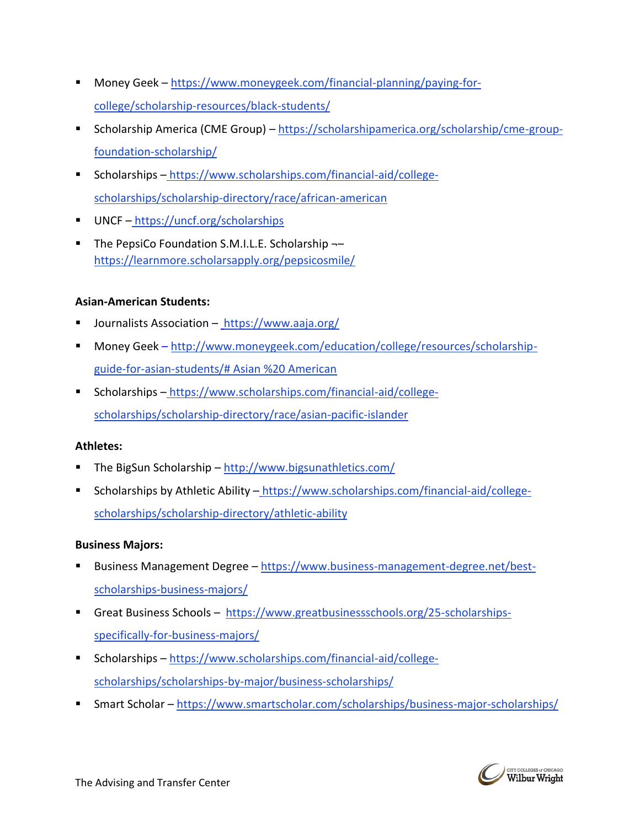- Money Geek [https://www.moneygeek.com/financial-planning/paying-for](https://www.moneygeek.com/financial-planning/paying-for-college/scholarship-resources/black-students/)[college/scholarship-resources/black-students/](https://www.moneygeek.com/financial-planning/paying-for-college/scholarship-resources/black-students/)
- Scholarship America (CME Group) [https://scholarshipamerica.org/scholarship/cme-group](https://scholarshipamerica.org/scholarship/cme-group-foundation-scholarship/)[foundation-scholarship/](https://scholarshipamerica.org/scholarship/cme-group-foundation-scholarship/)
- Scholarships https://www.scholarships.com/financial-aid/collegescholarships/scholarship-directory/race/african-american
- UNCF <https://uncf.org/scholarships>
- The PepsiCo Foundation S.M.I.L.E. Scholarship ¬– <https://learnmore.scholarsapply.org/pepsicosmile/>

#### **Asian-American Students:**

- Journalists Association <https://www.aaja.org/>
- Money Geek [http://www.moneygeek.com/education/college/resources/scholarship](http://www.moneygeek.com/education/college/resources/scholarship-guide-for-asian-students/# Asian %20 American)[guide-for-asian-students/# Asian %20 American](http://www.moneygeek.com/education/college/resources/scholarship-guide-for-asian-students/# Asian %20 American)
- Scholarships https://www.scholarships.com/financial-aid/collegescholarships/scholarship-directory/race/asian-pacific-islander

#### **Athletes:**

- The BigSun Scholarship <http://www.bigsunathletics.com/>
- Scholarships by Athletic Ability [https://www.scholarships.com/financial-aid/college](https://www.scholarships.com/financial-aid/college-scholarships/scholarship-directory/athletic-ability)[scholarships/scholarship-directory/athletic-ability](https://www.scholarships.com/financial-aid/college-scholarships/scholarship-directory/athletic-ability)

#### **Business Majors:**

- Business Management Degree [https://www.business-management-degree.net/best](https://www.business-management-degree.net/best-scholarships-business-majors/)[scholarships-business-majors/](https://www.business-management-degree.net/best-scholarships-business-majors/)
- Great Business Schools [https://www.greatbusinessschools.org/25-scholarships](https://www.greatbusinessschools.org/25-scholarships-specifically-for-business-majors/)[specifically-for-business-majors/](https://www.greatbusinessschools.org/25-scholarships-specifically-for-business-majors/)
- Scholarships [https://www.scholarships.com/financial-aid/college](https://www.scholarships.com/financial-aid/college-scholarships/scholarships-by-major/business-scholarships/)[scholarships/scholarships-by-major/business-scholarships/](https://www.scholarships.com/financial-aid/college-scholarships/scholarships-by-major/business-scholarships/)
- Smart Scholar <https://www.smartscholar.com/scholarships/business-major-scholarships/>

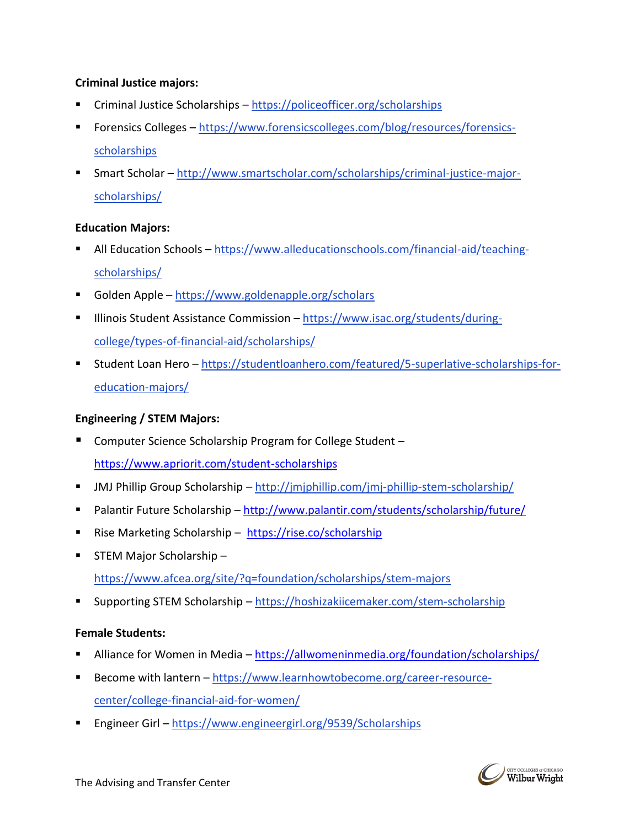### **Criminal Justice majors:**

- Criminal Justice Scholarships <https://policeofficer.org/scholarships>
- Forensics Colleges [https://www.forensicscolleges.com/blog/resources/forensics](https://www.forensicscolleges.com/blog/resources/forensics-scholarships)[scholarships](https://www.forensicscolleges.com/blog/resources/forensics-scholarships)
- Smart Scholar [http://www.smartscholar.com/scholarships/criminal-justice-major](http://www.smartscholar.com/scholarships/criminal-justice-major-scholarships/)[scholarships/](http://www.smartscholar.com/scholarships/criminal-justice-major-scholarships/)

#### **Education Majors:**

- All Education Schools [https://www.alleducationschools.com/financial-aid/teaching](https://www.alleducationschools.com/financial-aid/teaching-scholarships/)[scholarships/](https://www.alleducationschools.com/financial-aid/teaching-scholarships/)
- Golden Apple <https://www.goldenapple.org/scholars>
- Illinois Student Assistance Commission [https://www.isac.org/students/during](https://www.isac.org/students/during-college/types-of-financial-aid/scholarships/)[college/types-of-financial-aid/scholarships/](https://www.isac.org/students/during-college/types-of-financial-aid/scholarships/)
- Student Loan Hero [https://studentloanhero.com/featured/5-superlative-scholarships-for](https://studentloanhero.com/featured/5-superlative-scholarships-for-education-majors/)[education-majors/](https://studentloanhero.com/featured/5-superlative-scholarships-for-education-majors/)

## **Engineering / STEM Majors:**

Computer Science Scholarship Program for College Student –

<https://www.apriorit.com/student-scholarships>

- **■** JMJ Phillip Group Scholarship <http://jmjphillip.com/jmj-phillip-stem-scholarship/>
- Palantir Future Scholarship <http://www.palantir.com/students/scholarship/future/>
- Rise Marketing Scholarship <https://rise.co/scholarship>
- STEM Major Scholarship <https://www.afcea.org/site/?q=foundation/scholarships/stem-majors>
- Supporting STEM Scholarship <https://hoshizakiicemaker.com/stem-scholarship>

## **Female Students:**

- Alliance for Women in Media <https://allwomeninmedia.org/foundation/scholarships/>
- Become with lantern [https://www.learnhowtobecome.org/career-resource](https://www.learnhowtobecome.org/career-resource-center/college-financial-aid-for-women/)[center/college-financial-aid-for-women/](https://www.learnhowtobecome.org/career-resource-center/college-financial-aid-for-women/)
- Engineer Girl <https://www.engineergirl.org/9539/Scholarships>

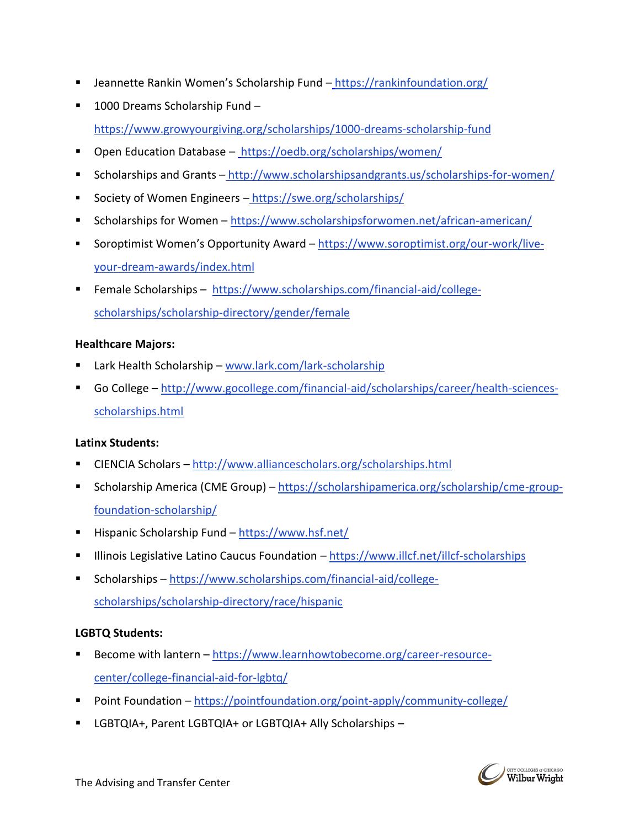- Jeannette Rankin Women's Scholarship Fund <https://rankinfoundation.org/>
- 1000 Dreams Scholarship Fund <https://www.growyourgiving.org/scholarships/1000-dreams-scholarship-fund>
- Open Education Database <https://oedb.org/scholarships/women/>
- Scholarships and Grants <http://www.scholarshipsandgrants.us/scholarships-for-women/>
- Society of Women Engineers <https://swe.org/scholarships/>
- Scholarships for Women <https://www.scholarshipsforwomen.net/african-american/>
- Soroptimist Women's Opportunity Award [https://www.soroptimist.org/our-work/live](https://www.soroptimist.org/our-work/live-your-dream-awards/index.html)[your-dream-awards/index.html](https://www.soroptimist.org/our-work/live-your-dream-awards/index.html)
- Female Scholarships [https://www.scholarships.com/financial-aid/college](https://www.scholarships.com/financial-aid/college-scholarships/scholarship-directory/gender/female)[scholarships/scholarship-directory/gender/female](https://www.scholarships.com/financial-aid/college-scholarships/scholarship-directory/gender/female)

#### **Healthcare Majors:**

- Lark Health Scholarship [www.lark.com/lark-scholarship](http://www.lark.com/lark-scholarship)
- Go College [http://www.gocollege.com/financial-aid/scholarships/career/health-sciences](http://www.gocollege.com/financial-aid/scholarships/career/health-sciences-scholarships.html)[scholarships.html](http://www.gocollege.com/financial-aid/scholarships/career/health-sciences-scholarships.html)

#### **Latinx Students:**

- CIENCIA Scholars <http://www.alliancescholars.org/scholarships.html>
- Scholarship America (CME Group) [https://scholarshipamerica.org/scholarship/cme-group](https://scholarshipamerica.org/scholarship/cme-group-foundation-scholarship/)[foundation-scholarship/](https://scholarshipamerica.org/scholarship/cme-group-foundation-scholarship/)
- Hispanic Scholarship Fund <https://www.hsf.net/>
- **■** Illinois Legislative Latino Caucus Foundation <https://www.illcf.net/illcf-scholarships>
- Scholarships [https://www.scholarships.com/financial-aid/college](https://www.scholarships.com/financial-aid/college-scholarships/scholarship-directory/race/hispanic)
	- [scholarships/scholarship-directory/race/hispanic](https://www.scholarships.com/financial-aid/college-scholarships/scholarship-directory/race/hispanic)

## **LGBTQ Students:**

- Become with lantern [https://www.learnhowtobecome.org/career-resource](https://www.learnhowtobecome.org/career-resource-center/college-financial-aid-for-lgbtq/)[center/college-financial-aid-for-lgbtq/](https://www.learnhowtobecome.org/career-resource-center/college-financial-aid-for-lgbtq/)
- Point Foundation <https://pointfoundation.org/point-apply/community-college/>
- LGBTQIA+, Parent LGBTQIA+ or LGBTQIA+ Ally Scholarships –

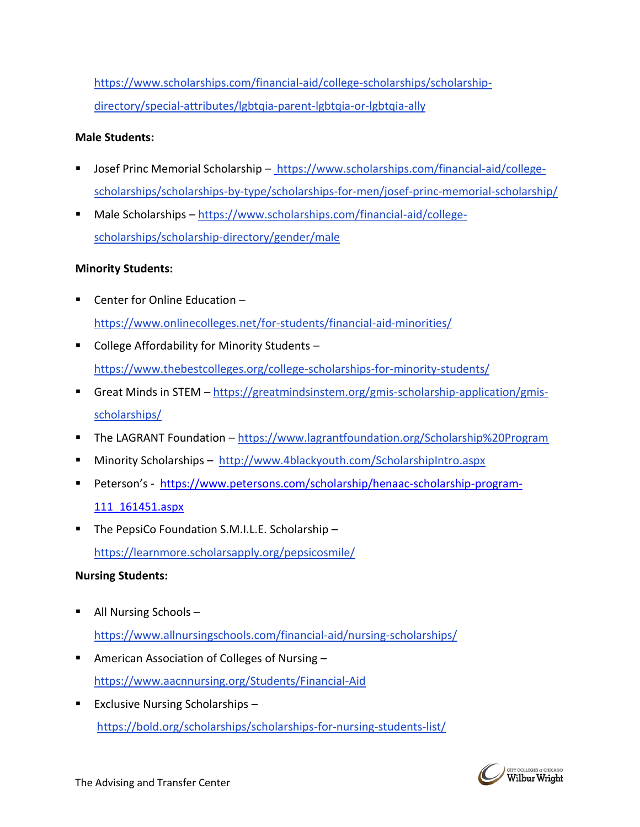[https://www.scholarships.com/financial-aid/college-scholarships/scholarship](https://www.scholarships.com/financial-aid/college-scholarships/scholarship-directory/special-attributes/lgbtqia-parent-lgbtqia-or-lgbtqia-ally)[directory/special-attributes/lgbtqia-parent-lgbtqia-or-lgbtqia-ally](https://www.scholarships.com/financial-aid/college-scholarships/scholarship-directory/special-attributes/lgbtqia-parent-lgbtqia-or-lgbtqia-ally)

#### **Male Students:**

- Josef Princ Memorial Scholarship [https://www.scholarships.com/financial-aid/college](https://www.scholarships.com/financial-aid/college-scholarships/scholarships-by-type/scholarships-for-men/josef-princ-memorial-scholarship/)[scholarships/scholarships-by-type/scholarships-for-men/josef-princ-memorial-scholarship/](https://www.scholarships.com/financial-aid/college-scholarships/scholarships-by-type/scholarships-for-men/josef-princ-memorial-scholarship/)
- Male Scholarships [https://www.scholarships.com/financial-aid/college](https://www.scholarships.com/financial-aid/college-scholarships/scholarship-directory/gender/male)[scholarships/scholarship-directory/gender/male](https://www.scholarships.com/financial-aid/college-scholarships/scholarship-directory/gender/male)

#### **Minority Students:**

- Center for Online Education <https://www.onlinecolleges.net/for-students/financial-aid-minorities/>
- College Affordability for Minority Students <https://www.thebestcolleges.org/college-scholarships-for-minority-students/>
- Great Minds in STEM [https://greatmindsinstem.org/gmis-scholarship-application/gmis](https://greatmindsinstem.org/gmis-scholarship-application/gmis-scholarships/)[scholarships/](https://greatmindsinstem.org/gmis-scholarship-application/gmis-scholarships/)
- The LAGRANT Foundation <https://www.lagrantfoundation.org/Scholarship%20Program>
- Minority Scholarships <http://www.4blackyouth.com/ScholarshipIntro.aspx>
- Peterson's [https://www.petersons.com/scholarship/henaac-scholarship-program-](https://www.petersons.com/scholarship/henaac-scholarship-program-111_161451.aspx)[111\\_161451.aspx](https://www.petersons.com/scholarship/henaac-scholarship-program-111_161451.aspx)
- The PepsiCo Foundation S.M.I.L.E. Scholarship <https://learnmore.scholarsapply.org/pepsicosmile/>

#### **Nursing Students:**

- All Nursing Schools  $$ <https://www.allnursingschools.com/financial-aid/nursing-scholarships/>
- American Association of Colleges of Nursing <https://www.aacnnursing.org/Students/Financial-Aid>
- Exclusive Nursing Scholarships <https://bold.org/scholarships/scholarships-for-nursing-students-list/>

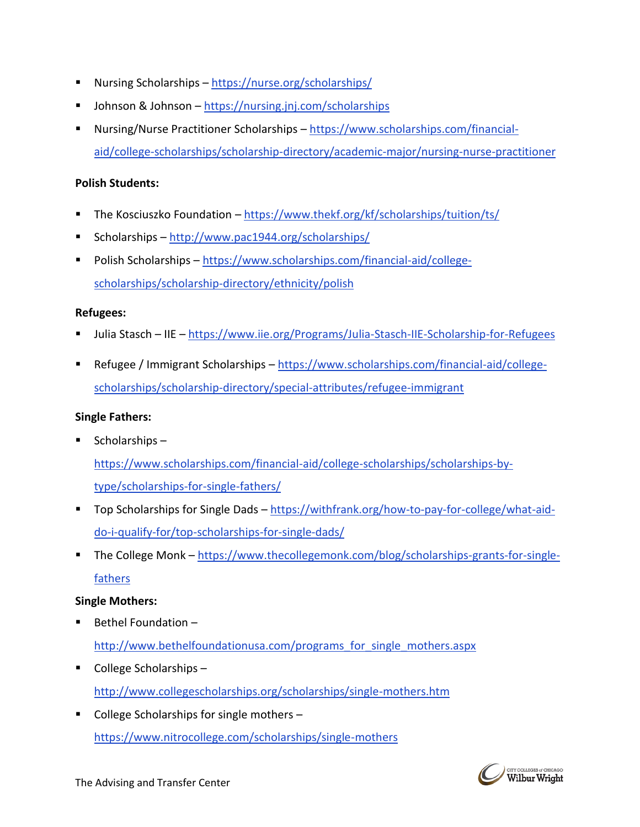- Nursing Scholarships <https://nurse.org/scholarships/>
- Johnson & Johnson <https://nursing.jnj.com/scholarships>
- Nursing/Nurse Practitioner Scholarships [https://www.scholarships.com/financial](https://www.scholarships.com/financial-aid/college-scholarships/scholarship-directory/academic-major/nursing-nurse-practitioner)[aid/college-scholarships/scholarship-directory/academic-major/nursing-nurse-practitioner](https://www.scholarships.com/financial-aid/college-scholarships/scholarship-directory/academic-major/nursing-nurse-practitioner)

#### **Polish Students:**

- The Kosciuszko Foundation <https://www.thekf.org/kf/scholarships/tuition/ts/>
- Scholarships <http://www.pac1944.org/scholarships/>
- Polish Scholarships [https://www.scholarships.com/financial-aid/college](https://www.scholarships.com/financial-aid/college-scholarships/scholarship-directory/ethnicity/polish)[scholarships/scholarship-directory/ethnicity/polish](https://www.scholarships.com/financial-aid/college-scholarships/scholarship-directory/ethnicity/polish)

#### **Refugees:**

- Julia Stasch IIE <https://www.iie.org/Programs/Julia-Stasch-IIE-Scholarship-for-Refugees>
- Refugee / Immigrant Scholarships [https://www.scholarships.com/financial-aid/college](https://www.scholarships.com/financial-aid/college-scholarships/scholarship-directory/special-attributes/refugee-immigrant)[scholarships/scholarship-directory/special-attributes/refugee-immigrant](https://www.scholarships.com/financial-aid/college-scholarships/scholarship-directory/special-attributes/refugee-immigrant)

### **Single Fathers:**

 $\blacksquare$  Scholarships –

[https://www.scholarships.com/financial-aid/college-scholarships/scholarships-by](https://www.scholarships.com/financial-aid/college-scholarships/scholarships-by-type/scholarships-for-single-fathers/)[type/scholarships-for-single-fathers/](https://www.scholarships.com/financial-aid/college-scholarships/scholarships-by-type/scholarships-for-single-fathers/)

- Top Scholarships for Single Dads [https://withfrank.org/how-to-pay-for-college/what-aid](https://withfrank.org/how-to-pay-for-college/what-aid-do-i-qualify-for/top-scholarships-for-single-dads/)[do-i-qualify-for/top-scholarships-for-single-dads/](https://withfrank.org/how-to-pay-for-college/what-aid-do-i-qualify-for/top-scholarships-for-single-dads/)
- The College Monk [https://www.thecollegemonk.com/blog/scholarships-grants-for-single](https://www.thecollegemonk.com/blog/scholarships-grants-for-single-fathers)[fathers](https://www.thecollegemonk.com/blog/scholarships-grants-for-single-fathers)

#### **Single Mothers:**

Bethel Foundation –

http://www.bethelfoundationusa.com/programs for single mothers.aspx

- College Scholarships <http://www.collegescholarships.org/scholarships/single-mothers.htm>
- College Scholarships for single mothers <https://www.nitrocollege.com/scholarships/single-mothers>

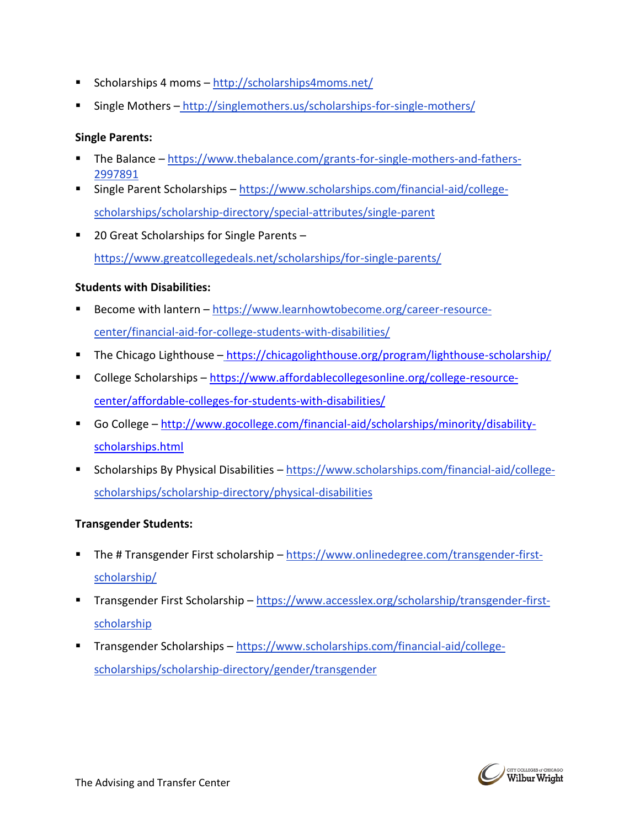- Scholarships 4 moms <http://scholarships4moms.net/>
- Single Mothers <http://singlemothers.us/scholarships-for-single-mothers/>

#### **Single Parents:**

- The Balance [https://www.thebalance.com/grants-for-single-mothers-and-fathers-](https://www.thebalance.com/grants-for-single-mothers-and-fathers-2997891)[2997891](https://www.thebalance.com/grants-for-single-mothers-and-fathers-2997891)
- Single Parent Scholarships [https://www.scholarships.com/financial-aid/college](https://www.scholarships.com/financial-aid/college-scholarships/scholarship-directory/special-attributes/single-parent)[scholarships/scholarship-directory/special-attributes/single-parent](https://www.scholarships.com/financial-aid/college-scholarships/scholarship-directory/special-attributes/single-parent)
- 20 Great Scholarships for Single Parents <https://www.greatcollegedeals.net/scholarships/for-single-parents/>

## **Students with Disabilities:**

- Become with lantern [https://www.learnhowtobecome.org/career-resource](https://www.learnhowtobecome.org/career-resource-center/financial-aid-for-college-students-with-disabilities/)[center/financial-aid-for-college-students-with-disabilities/](https://www.learnhowtobecome.org/career-resource-center/financial-aid-for-college-students-with-disabilities/)
- The Chicago Lighthouse <https://chicagolighthouse.org/program/lighthouse-scholarship/>
- College Scholarships [https://www.affordablecollegesonline.org/college-resource](https://www.affordablecollegesonline.org/college-resource-center/affordable-colleges-for-students-with-disabilities/)[center/affordable-colleges-for-students-with-disabilities/](https://www.affordablecollegesonline.org/college-resource-center/affordable-colleges-for-students-with-disabilities/)
- Go College [http://www.gocollege.com/financial-aid/scholarships/minority/disability](http://www.gocollege.com/financial-aid/scholarships/minority/disability-scholarships.html)[scholarships.html](http://www.gocollege.com/financial-aid/scholarships/minority/disability-scholarships.html)
- Scholarships By Physical Disabilities [https://www.scholarships.com/financial-aid/college](https://www.scholarships.com/financial-aid/college-scholarships/scholarship-directory/physical-disabilities)[scholarships/scholarship-directory/physical-disabilities](https://www.scholarships.com/financial-aid/college-scholarships/scholarship-directory/physical-disabilities)

## **Transgender Students:**

- The # Transgender First scholarship [https://www.onlinedegree.com/transgender-first](https://www.onlinedegree.com/transgender-first-scholarship/)[scholarship/](https://www.onlinedegree.com/transgender-first-scholarship/)
- Transgender First Scholarship [https://www.accesslex.org/scholarship/transgender-first](https://www.accesslex.org/scholarship/transgender-first-scholarship)[scholarship](https://www.accesslex.org/scholarship/transgender-first-scholarship)
- Transgender Scholarships [https://www.scholarships.com/financial-aid/college](https://www.scholarships.com/financial-aid/college-scholarships/scholarship-directory/gender/transgender)[scholarships/scholarship-directory/gender/transgender](https://www.scholarships.com/financial-aid/college-scholarships/scholarship-directory/gender/transgender)

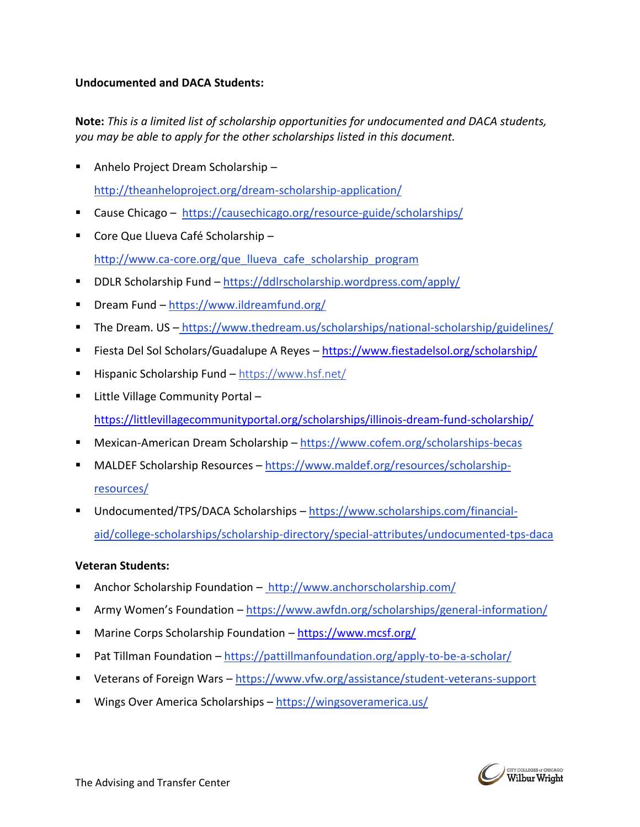### **Undocumented and DACA Students:**

**Note:** *This is a limited list of scholarship opportunities for undocumented and DACA students, you may be able to apply for the other scholarships listed in this document.*

- Anhelo Project Dream Scholarship <http://theanheloproject.org/dream-scholarship-application/>
- Cause Chicago <https://causechicago.org/resource-guide/scholarships/>
- Core Que Llueva Café Scholarship [http://www.ca-core.org/que\\_llueva\\_cafe\\_scholarship\\_program](http://www.ca-core.org/que_llueva_cafe_scholarship_program)
- DDLR Scholarship Fund <https://ddlrscholarship.wordpress.com/apply/>
- Dream Fund <https://www.ildreamfund.org/>
- The Dream. US <https://www.thedream.us/scholarships/national-scholarship/guidelines/>
- Fiesta Del Sol Scholars/Guadalupe A Reyes https://www.fiestadelsol.org/scholarship/
- Hispanic Scholarship Fund <https://www.hsf.net/>
- Little Village Community Portal <https://littlevillagecommunityportal.org/scholarships/illinois-dream-fund-scholarship/>
- Mexican-American Dream Scholarship <https://www.cofem.org/scholarships-becas>
- MALDEF Scholarship Resources [https://www.maldef.org/resources/scholarship](https://www.maldef.org/resources/scholarship-resources/)[resources/](https://www.maldef.org/resources/scholarship-resources/)
- Undocumented/TPS/DACA Scholarships [https://www.scholarships.com/financial](https://www.scholarships.com/financial-aid/college-scholarships/scholarship-directory/special-attributes/undocumented-tps-daca)[aid/college-scholarships/scholarship-directory/special-attributes/undocumented-tps-daca](https://www.scholarships.com/financial-aid/college-scholarships/scholarship-directory/special-attributes/undocumented-tps-daca)

#### **Veteran Students:**

- Anchor Scholarship Foundation <http://www.anchorscholarship.com/>
- Army Women's Foundation <https://www.awfdn.org/scholarships/general-information/>
- Marine Corps Scholarship Foundation <https://www.mcsf.org/>
- Pat Tillman Foundation <https://pattillmanfoundation.org/apply-to-be-a-scholar/>
- Veterans of Foreign Wars https://www.vfw.org/assistance/student-veterans-support
- Wings Over America Scholarships <https://wingsoveramerica.us/>



The Advising and Transfer Center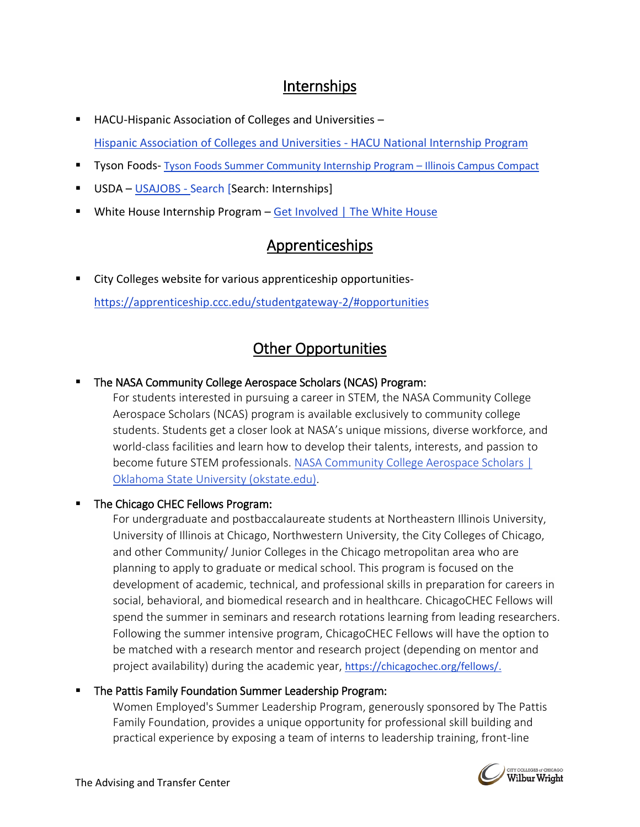# Internships

- HACU-Hispanic Association of Colleges and Universities -[Hispanic Association of Colleges and Universities -](https://www.hacu.net/hacu/HNIP.asp) HACU National Internship Program
- **E** Tyson Foods- [Tyson Foods Summer Community Internship Program](https://illinoiscampuscompact.org/tyson/)  Illinois Campus Compact
- USDA [USAJOBS -](https://www.usajobs.gov/Search/Results/?d=AG&wt=15328&hp=student&p=1) Search [Search: Internships]
- **E** White House Internship Program [Get Involved | The White House](https://www.whitehouse.gov/get-involved/)

# Apprenticeships

City Colleges website for various apprenticeship opportunities<https://apprenticeship.ccc.edu/studentgateway-2/#opportunities>

# Other Opportunities

# The NASA Community College Aerospace Scholars (NCAS) Program:

For students interested in pursuing a career in STEM, the NASA Community College Aerospace Scholars (NCAS) program is available exclusively to community college students. Students get a closer look at NASA's unique missions, diverse workforce, and world-class facilities and learn how to develop their talents, interests, and passion to become future STEM professionals. [NASA Community College Aerospace Scholars |](https://nasaostem.okstate.edu/ncas/legacy/index.html)  [Oklahoma State University \(okstate.edu\).](https://nasaostem.okstate.edu/ncas/legacy/index.html)

# The Chicago CHEC Fellows Program:

For undergraduate and postbaccalaureate students at Northeastern Illinois University, University of Illinois at Chicago, Northwestern University, the City Colleges of Chicago, and [other Community/ Junior Colleges](https://chicagochec.org/opportunities/education-training-programs/research-fellows/communityjunior-colleges-in-the-chicago-metropolitan-area/) in the Chicago metropolitan area who are planning to apply to graduate or medical school. This program is focused on the development of academic, technical, and professional skills in preparation for careers in social, behavioral, and biomedical research and in healthcare. ChicagoCHEC Fellows will spend the summer in seminars and research rotations learning from leading researchers. Following the summer intensive program, ChicagoCHEC Fellows will have the option to be matched with a research mentor and research project (depending on mentor and project availability) during the academic year, https://chicagochec.org/fellows/.

# The Pattis Family Foundation Summer Leadership Program:

Women Employed's Summer Leadership Program, generously sponsored by The Pattis Family Foundation, provides a unique opportunity for professional skill building and practical experience by exposing a team of interns to leadership training, front-line